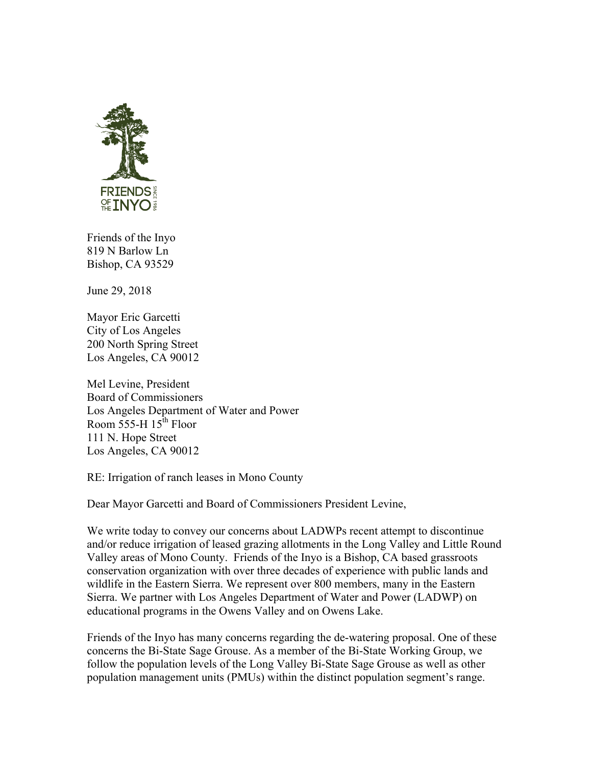

Friends of the Inyo 819 N Barlow Ln Bishop, CA 93529

June 29, 2018

Mayor Eric Garcetti City of Los Angeles 200 North Spring Street Los Angeles, CA 90012

Mel Levine, President Board of Commissioners Los Angeles Department of Water and Power Room 555-H  $15^{\text{th}}$  Floor 111 N. Hope Street Los Angeles, CA 90012

RE: Irrigation of ranch leases in Mono County

Dear Mayor Garcetti and Board of Commissioners President Levine,

We write today to convey our concerns about LADWPs recent attempt to discontinue and/or reduce irrigation of leased grazing allotments in the Long Valley and Little Round Valley areas of Mono County. Friends of the Inyo is a Bishop, CA based grassroots conservation organization with over three decades of experience with public lands and wildlife in the Eastern Sierra. We represent over 800 members, many in the Eastern Sierra. We partner with Los Angeles Department of Water and Power (LADWP) on educational programs in the Owens Valley and on Owens Lake.

Friends of the Inyo has many concerns regarding the de-watering proposal. One of these concerns the Bi-State Sage Grouse. As a member of the Bi-State Working Group, we follow the population levels of the Long Valley Bi-State Sage Grouse as well as other population management units (PMUs) within the distinct population segment's range.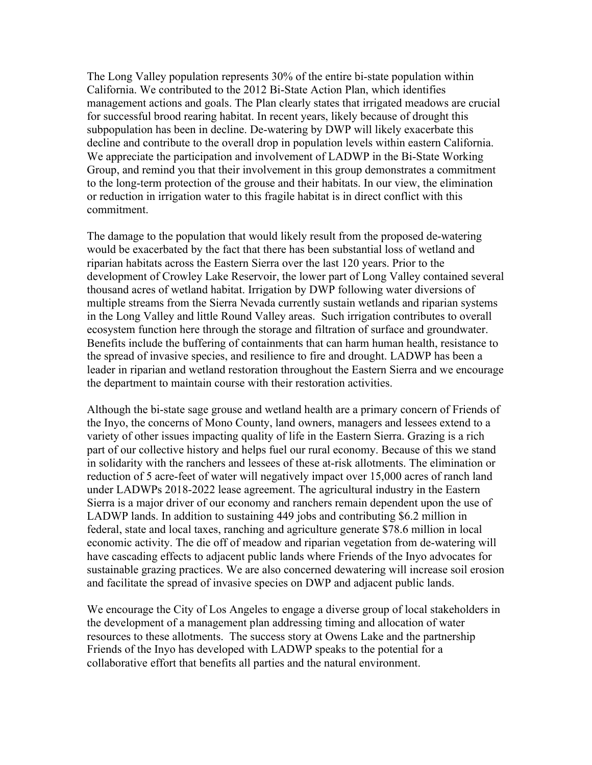The Long Valley population represents 30% of the entire bi-state population within California. We contributed to the 2012 Bi-State Action Plan, which identifies management actions and goals. The Plan clearly states that irrigated meadows are crucial for successful brood rearing habitat. In recent years, likely because of drought this subpopulation has been in decline. De-watering by DWP will likely exacerbate this decline and contribute to the overall drop in population levels within eastern California. We appreciate the participation and involvement of LADWP in the Bi-State Working Group, and remind you that their involvement in this group demonstrates a commitment to the long-term protection of the grouse and their habitats. In our view, the elimination or reduction in irrigation water to this fragile habitat is in direct conflict with this commitment.

The damage to the population that would likely result from the proposed de-watering would be exacerbated by the fact that there has been substantial loss of wetland and riparian habitats across the Eastern Sierra over the last 120 years. Prior to the development of Crowley Lake Reservoir, the lower part of Long Valley contained several thousand acres of wetland habitat. Irrigation by DWP following water diversions of multiple streams from the Sierra Nevada currently sustain wetlands and riparian systems in the Long Valley and little Round Valley areas. Such irrigation contributes to overall ecosystem function here through the storage and filtration of surface and groundwater. Benefits include the buffering of containments that can harm human health, resistance to the spread of invasive species, and resilience to fire and drought. LADWP has been a leader in riparian and wetland restoration throughout the Eastern Sierra and we encourage the department to maintain course with their restoration activities.

Although the bi-state sage grouse and wetland health are a primary concern of Friends of the Inyo, the concerns of Mono County, land owners, managers and lessees extend to a variety of other issues impacting quality of life in the Eastern Sierra. Grazing is a rich part of our collective history and helps fuel our rural economy. Because of this we stand in solidarity with the ranchers and lessees of these at-risk allotments. The elimination or reduction of 5 acre-feet of water will negatively impact over 15,000 acres of ranch land under LADWPs 2018-2022 lease agreement. The agricultural industry in the Eastern Sierra is a major driver of our economy and ranchers remain dependent upon the use of LADWP lands. In addition to sustaining 449 jobs and contributing \$6.2 million in federal, state and local taxes, ranching and agriculture generate \$78.6 million in local economic activity. The die off of meadow and riparian vegetation from de-watering will have cascading effects to adjacent public lands where Friends of the Inyo advocates for sustainable grazing practices. We are also concerned dewatering will increase soil erosion and facilitate the spread of invasive species on DWP and adjacent public lands.

We encourage the City of Los Angeles to engage a diverse group of local stakeholders in the development of a management plan addressing timing and allocation of water resources to these allotments. The success story at Owens Lake and the partnership Friends of the Inyo has developed with LADWP speaks to the potential for a collaborative effort that benefits all parties and the natural environment.